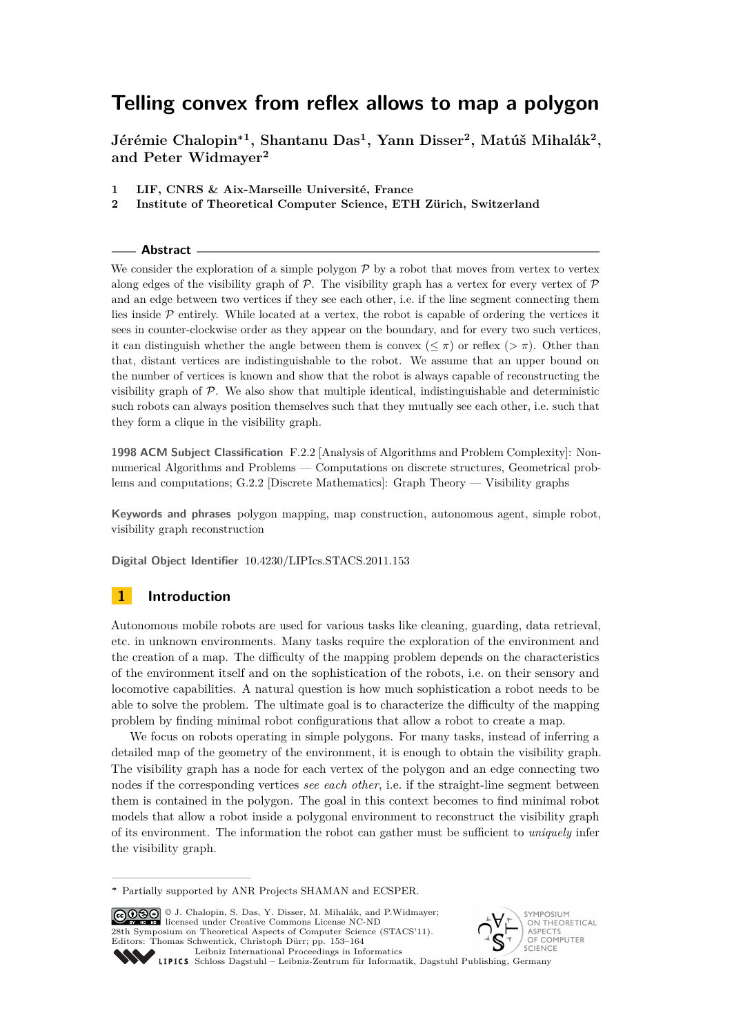**Jérémie Chalopin<sup>∗</sup><sup>1</sup> , Shantanu Das<sup>1</sup> , Yann Disser<sup>2</sup> , Matúš Mihalák<sup>2</sup> , and Peter Widmayer<sup>2</sup>**

- **1 LIF, CNRS & Aix-Marseille Université, France**
- **2 Institute of Theoretical Computer Science, ETH Zürich, Switzerland**

#### **Abstract**

We consider the exploration of a simple polygon  $\mathcal P$  by a robot that moves from vertex to vertex along edges of the visibility graph of  $P$ . The visibility graph has a vertex for every vertex of  $P$ and an edge between two vertices if they see each other, i.e. if the line segment connecting them lies inside P entirely. While located at a vertex, the robot is capable of ordering the vertices it sees in counter-clockwise order as they appear on the boundary, and for every two such vertices, it can distinguish whether the angle between them is convex ( $\leq \pi$ ) or reflex ( $> \pi$ ). Other than that, distant vertices are indistinguishable to the robot. We assume that an upper bound on the number of vertices is known and show that the robot is always capable of reconstructing the visibility graph of P. We also show that multiple identical, indistinguishable and deterministic such robots can always position themselves such that they mutually see each other, i.e. such that they form a clique in the visibility graph.

**1998 ACM Subject Classification** F.2.2 [Analysis of Algorithms and Problem Complexity]: Nonnumerical Algorithms and Problems — Computations on discrete structures, Geometrical problems and computations; G.2.2 [Discrete Mathematics]: Graph Theory — Visibility graphs

**Keywords and phrases** polygon mapping, map construction, autonomous agent, simple robot, visibility graph reconstruction

**Digital Object Identifier** [10.4230/LIPIcs.STACS.2011.153](http://dx.doi.org/10.4230/LIPIcs.STACS.2011.153)

# **1 Introduction**

Autonomous mobile robots are used for various tasks like cleaning, guarding, data retrieval, etc. in unknown environments. Many tasks require the exploration of the environment and the creation of a map. The difficulty of the mapping problem depends on the characteristics of the environment itself and on the sophistication of the robots, i.e. on their sensory and locomotive capabilities. A natural question is how much sophistication a robot needs to be able to solve the problem. The ultimate goal is to characterize the difficulty of the mapping problem by finding minimal robot configurations that allow a robot to create a map.

We focus on robots operating in simple polygons. For many tasks, instead of inferring a detailed map of the geometry of the environment, it is enough to obtain the visibility graph. The visibility graph has a node for each vertex of the polygon and an edge connecting two nodes if the corresponding vertices *see each other*, i.e. if the straight-line segment between them is contained in the polygon. The goal in this context becomes to find minimal robot models that allow a robot inside a polygonal environment to reconstruct the visibility graph of its environment. The information the robot can gather must be sufficient to *uniquely* infer the visibility graph.

© J. Chalopin, S. Das, Y. Disser, M. Mihalák, and P.Widmayer; licensed under Creative Commons License NC-ND 28th Symposium on Theoretical Aspects of Computer Science (STACS'11). Editors: Thomas Schwentick, Christoph Dürr; pp. 153[–164](#page-11-0)



[Leibniz International Proceedings in Informatics](http://www.dagstuhl.de/lipics/) Leibniz international Froceedings in miximistics<br>
LIPICS [Schloss Dagstuhl – Leibniz-Zentrum für Informatik, Dagstuhl Publishing, Germany](http://www.dagstuhl.de)

**<sup>∗</sup>** Partially supported by ANR Projects SHAMAN and ECSPER.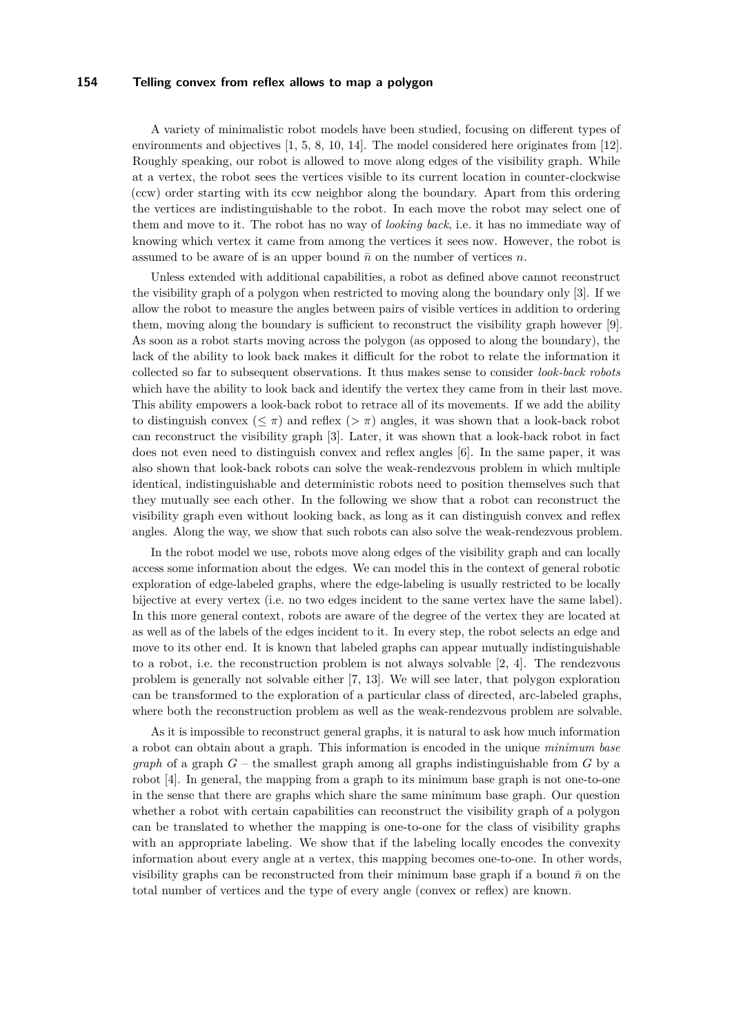A variety of minimalistic robot models have been studied, focusing on different types of environments and objectives [\[1,](#page-11-1) [5,](#page-11-2) [8,](#page-11-3) [10,](#page-11-4) [14\]](#page-11-5). The model considered here originates from [\[12\]](#page-11-6). Roughly speaking, our robot is allowed to move along edges of the visibility graph. While at a vertex, the robot sees the vertices visible to its current location in counter-clockwise (ccw) order starting with its ccw neighbor along the boundary. Apart from this ordering the vertices are indistinguishable to the robot. In each move the robot may select one of them and move to it. The robot has no way of *looking back*, i.e. it has no immediate way of knowing which vertex it came from among the vertices it sees now. However, the robot is assumed to be aware of is an upper bound  $\bar{n}$  on the number of vertices  $n$ .

Unless extended with additional capabilities, a robot as defined above cannot reconstruct the visibility graph of a polygon when restricted to moving along the boundary only [\[3\]](#page-11-7). If we allow the robot to measure the angles between pairs of visible vertices in addition to ordering them, moving along the boundary is sufficient to reconstruct the visibility graph however [\[9\]](#page-11-8). As soon as a robot starts moving across the polygon (as opposed to along the boundary), the lack of the ability to look back makes it difficult for the robot to relate the information it collected so far to subsequent observations. It thus makes sense to consider *look-back robots* which have the ability to look back and identify the vertex they came from in their last move. This ability empowers a look-back robot to retrace all of its movements. If we add the ability to distinguish convex  $(\leq \pi)$  and reflex  $(>\pi)$  angles, it was shown that a look-back robot can reconstruct the visibility graph [\[3\]](#page-11-7). Later, it was shown that a look-back robot in fact does not even need to distinguish convex and reflex angles [\[6\]](#page-11-9). In the same paper, it was also shown that look-back robots can solve the weak-rendezvous problem in which multiple identical, indistinguishable and deterministic robots need to position themselves such that they mutually see each other. In the following we show that a robot can reconstruct the visibility graph even without looking back, as long as it can distinguish convex and reflex angles. Along the way, we show that such robots can also solve the weak-rendezvous problem.

In the robot model we use, robots move along edges of the visibility graph and can locally access some information about the edges. We can model this in the context of general robotic exploration of edge-labeled graphs, where the edge-labeling is usually restricted to be locally bijective at every vertex (i.e. no two edges incident to the same vertex have the same label). In this more general context, robots are aware of the degree of the vertex they are located at as well as of the labels of the edges incident to it. In every step, the robot selects an edge and move to its other end. It is known that labeled graphs can appear mutually indistinguishable to a robot, i.e. the reconstruction problem is not always solvable [\[2,](#page-11-10) [4\]](#page-11-11). The rendezvous problem is generally not solvable either [\[7,](#page-11-12) [13\]](#page-11-13). We will see later, that polygon exploration can be transformed to the exploration of a particular class of directed, arc-labeled graphs, where both the reconstruction problem as well as the weak-rendezvous problem are solvable.

As it is impossible to reconstruct general graphs, it is natural to ask how much information a robot can obtain about a graph. This information is encoded in the unique *minimum base graph* of a graph *G* – the smallest graph among all graphs indistinguishable from *G* by a robot [\[4\]](#page-11-11). In general, the mapping from a graph to its minimum base graph is not one-to-one in the sense that there are graphs which share the same minimum base graph. Our question whether a robot with certain capabilities can reconstruct the visibility graph of a polygon can be translated to whether the mapping is one-to-one for the class of visibility graphs with an appropriate labeling. We show that if the labeling locally encodes the convexity information about every angle at a vertex, this mapping becomes one-to-one. In other words, visibility graphs can be reconstructed from their minimum base graph if a bound  $\bar{n}$  on the total number of vertices and the type of every angle (convex or reflex) are known.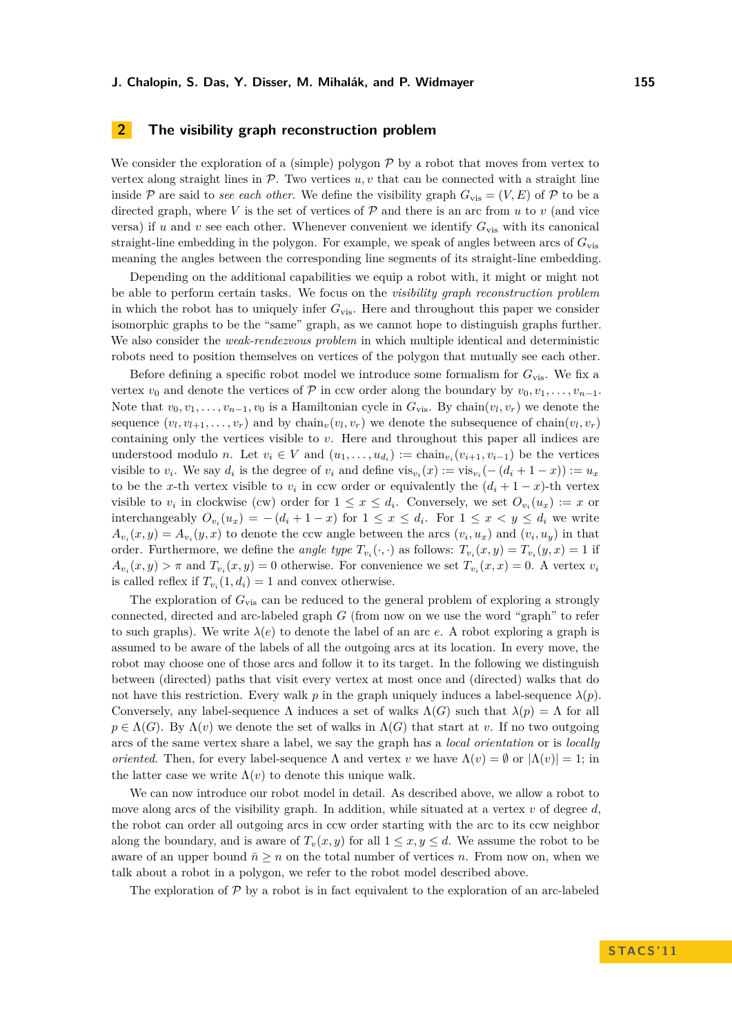# <span id="page-2-0"></span>**2 The visibility graph reconstruction problem**

We consider the exploration of a (simple) polygon  $\mathcal P$  by a robot that moves from vertex to vertex along straight lines in  $P$ . Two vertices  $u, v$  that can be connected with a straight line inside P are said to *see each other*. We define the visibility graph  $G_{\text{vis}} = (V, E)$  of P to be a directed graph, where  $V$  is the set of vertices of  $P$  and there is an arc from  $u$  to  $v$  (and vice versa) if *u* and *v* see each other. Whenever convenient we identify  $G_{\text{vis}}$  with its canonical straight-line embedding in the polygon. For example, we speak of angles between arcs of *G*vis meaning the angles between the corresponding line segments of its straight-line embedding.

Depending on the additional capabilities we equip a robot with, it might or might not be able to perform certain tasks. We focus on the *visibility graph reconstruction problem* in which the robot has to uniquely infer  $G_{\text{vis}}$ . Here and throughout this paper we consider isomorphic graphs to be the "same" graph, as we cannot hope to distinguish graphs further. We also consider the *weak-rendezvous problem* in which multiple identical and deterministic robots need to position themselves on vertices of the polygon that mutually see each other.

Before defining a specific robot model we introduce some formalism for *G*vis. We fix a vertex  $v_0$  and denote the vertices of  $\mathcal P$  in ccw order along the boundary by  $v_0, v_1, \ldots, v_{n-1}$ . Note that  $v_0, v_1, \ldots, v_{n-1}, v_0$  is a Hamiltonian cycle in  $G_{\text{vis}}$ . By chain $(v_l, v_r)$  we denote the sequence  $(v_l, v_{l+1}, \ldots, v_r)$  and by chain<sub>*v*</sub> $(v_l, v_r)$  we denote the subsequence of chain $(v_l, v_r)$ containing only the vertices visible to *v*. Here and throughout this paper all indices are understood modulo *n*. Let  $v_i \in V$  and  $(u_1, \ldots, u_{d_i}) := \text{chain}_{v_i}(v_{i+1}, v_{i-1})$  be the vertices visible to  $v_i$ . We say  $d_i$  is the degree of  $v_i$  and define  $\text{vis}_{v_i}(x) := \text{vis}_{v_i}(-(d_i+1-x)) := u_x$ to be the *x*-th vertex visible to  $v_i$  in ccw order or equivalently the  $(d_i + 1 - x)$ -th vertex visible to  $v_i$  in clockwise (cw) order for  $1 \leq x \leq d_i$ . Conversely, we set  $O_{v_i}(u_x) := x$  or interchangeably  $O_{v_i}(u_x) = -(d_i + 1 - x)$  for  $1 \leq x \leq d_i$ . For  $1 \leq x < y \leq d_i$  we write  $A_{v_i}(x, y) = A_{v_i}(y, x)$  to denote the ccw angle between the arcs  $(v_i, u_x)$  and  $(v_i, u_y)$  in that order. Furthermore, we define the *angle type*  $T_{v_i}(\cdot, \cdot)$  as follows:  $T_{v_i}(x, y) = T_{v_i}(y, x) = 1$  if  $A_{v_i}(x, y) > \pi$  and  $T_{v_i}(x, y) = 0$  otherwise. For convenience we set  $T_{v_i}(x, x) = 0$ . A vertex  $v_i$ is called reflex if  $T_{v_i}(1, d_i) = 1$  and convex otherwise.

The exploration of  $G_{vis}$  can be reduced to the general problem of exploring a strongly connected, directed and arc-labeled graph *G* (from now on we use the word "graph" to refer to such graphs). We write  $\lambda(e)$  to denote the label of an arc *e*. A robot exploring a graph is assumed to be aware of the labels of all the outgoing arcs at its location. In every move, the robot may choose one of those arcs and follow it to its target. In the following we distinguish between (directed) paths that visit every vertex at most once and (directed) walks that do not have this restriction. Every walk  $p$  in the graph uniquely induces a label-sequence  $\lambda(p)$ . Conversely, any label-sequence  $\Lambda$  induces a set of walks  $\Lambda(G)$  such that  $\lambda(p) = \Lambda$  for all  $p \in \Lambda(G)$ . By  $\Lambda(v)$  we denote the set of walks in  $\Lambda(G)$  that start at *v*. If no two outgoing arcs of the same vertex share a label, we say the graph has a *local orientation* or is *locally oriented*. Then, for every label-sequence  $\Lambda$  and vertex *v* we have  $\Lambda(v) = \emptyset$  or  $|\Lambda(v)| = 1$ ; in the latter case we write  $\Lambda(v)$  to denote this unique walk.

We can now introduce our robot model in detail. As described above, we allow a robot to move along arcs of the visibility graph. In addition, while situated at a vertex *v* of degree *d*, the robot can order all outgoing arcs in ccw order starting with the arc to its ccw neighbor along the boundary, and is aware of  $T_v(x, y)$  for all  $1 \le x, y \le d$ . We assume the robot to be aware of an upper bound  $\bar{n} \geq n$  on the total number of vertices *n*. From now on, when we talk about a robot in a polygon, we refer to the robot model described above.

The exploration of  $P$  by a robot is in fact equivalent to the exploration of an arc-labeled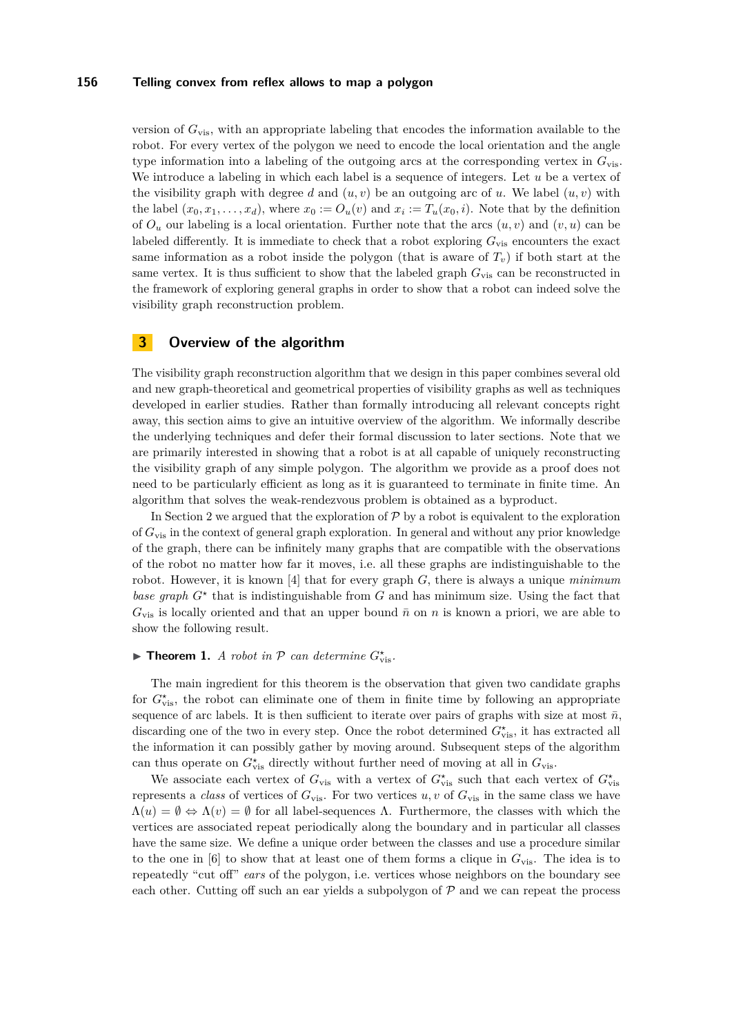version of *G*vis, with an appropriate labeling that encodes the information available to the robot. For every vertex of the polygon we need to encode the local orientation and the angle type information into a labeling of the outgoing arcs at the corresponding vertex in *G*vis. We introduce a labeling in which each label is a sequence of integers. Let *u* be a vertex of the visibility graph with degree *d* and  $(u, v)$  be an outgoing arc of *u*. We label  $(u, v)$  with the label  $(x_0, x_1, \ldots, x_d)$ , where  $x_0 := O_u(v)$  and  $x_i := T_u(x_0, i)$ . Note that by the definition of  $O_u$  our labeling is a local orientation. Further note that the arcs  $(u, v)$  and  $(v, u)$  can be labeled differently. It is immediate to check that a robot exploring  $G_{\text{vis}}$  encounters the exact same information as a robot inside the polygon (that is aware of  $T_v$ ) if both start at the same vertex. It is thus sufficient to show that the labeled graph  $G_{vis}$  can be reconstructed in the framework of exploring general graphs in order to show that a robot can indeed solve the visibility graph reconstruction problem.

### **3 Overview of the algorithm**

The visibility graph reconstruction algorithm that we design in this paper combines several old and new graph-theoretical and geometrical properties of visibility graphs as well as techniques developed in earlier studies. Rather than formally introducing all relevant concepts right away, this section aims to give an intuitive overview of the algorithm. We informally describe the underlying techniques and defer their formal discussion to later sections. Note that we are primarily interested in showing that a robot is at all capable of uniquely reconstructing the visibility graph of any simple polygon. The algorithm we provide as a proof does not need to be particularly efficient as long as it is guaranteed to terminate in finite time. An algorithm that solves the weak-rendezvous problem is obtained as a byproduct.

In Section [2](#page-2-0) we argued that the exploration of  $\mathcal P$  by a robot is equivalent to the exploration of *G*vis in the context of general graph exploration. In general and without any prior knowledge of the graph, there can be infinitely many graphs that are compatible with the observations of the robot no matter how far it moves, i.e. all these graphs are indistinguishable to the robot. However, it is known [\[4\]](#page-11-11) that for every graph *G*, there is always a unique *minimum base graph*  $G^*$  that is indistinguishable from  $G$  and has minimum size. Using the fact that  $G_{\text{vis}}$  is locally oriented and that an upper bound  $\bar{n}$  on *n* is known a priori, we are able to show the following result.

# <span id="page-3-0"></span>**Find Theorem 1.** *A robot in*  $P$  *can determine*  $G_{\text{vis}}^*$ .

The main ingredient for this theorem is the observation that given two candidate graphs for  $G^*_{\text{vis}}$ , the robot can eliminate one of them in finite time by following an appropriate sequence of arc labels. It is then sufficient to iterate over pairs of graphs with size at most  $\bar{n}$ , discarding one of the two in every step. Once the robot determined  $G^{\star}_{\text{vis}}$ , it has extracted all the information it can possibly gather by moving around. Subsequent steps of the algorithm can thus operate on  $G^*_{\text{vis}}$  directly without further need of moving at all in  $G_{\text{vis}}$ .

We associate each vertex of  $G_{\text{vis}}$  with a vertex of  $G_{\text{vis}}^*$  such that each vertex of  $G_{\text{vis}}^*$ represents a *class* of vertices of  $G_{\text{vis}}$ . For two vertices  $u, v$  of  $G_{\text{vis}}$  in the same class we have  $\Lambda(u) = \emptyset \Leftrightarrow \Lambda(v) = \emptyset$  for all label-sequences  $\Lambda$ . Furthermore, the classes with which the vertices are associated repeat periodically along the boundary and in particular all classes have the same size. We define a unique order between the classes and use a procedure similar to the one in [\[6\]](#page-11-9) to show that at least one of them forms a clique in  $G_{vis}$ . The idea is to repeatedly "cut off" *ears* of the polygon, i.e. vertices whose neighbors on the boundary see each other. Cutting off such an ear yields a subpolygon of  $P$  and we can repeat the process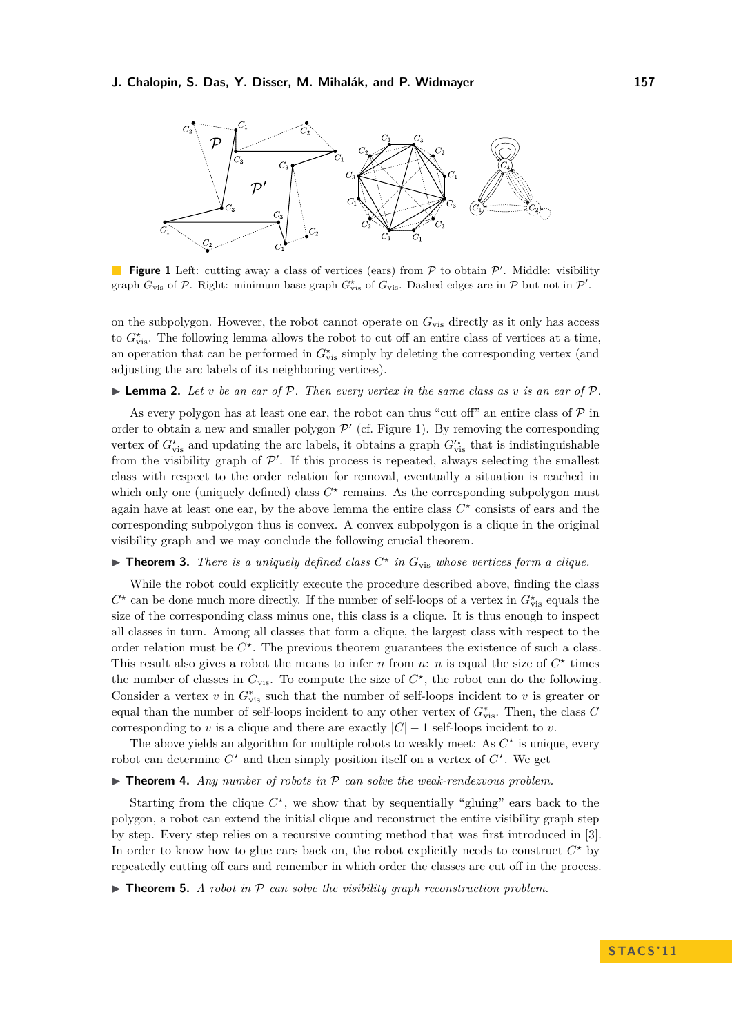<span id="page-4-0"></span>

**Figure 1** Left: cutting away a class of vertices (ears) from  $P$  to obtain  $P'$ . Middle: visibility graph  $G_{\text{vis}}$  of  $P$ . Right: minimum base graph  $G_{\text{vis}}^{\star}$  of  $G_{\text{vis}}$ . Dashed edges are in  $P$  but not in  $P'$ .

on the subpolygon. However, the robot cannot operate on  $G_{\text{vis}}$  directly as it only has access to  $G^{\star}_{\text{vis}}$ . The following lemma allows the robot to cut off an entire class of vertices at a time, an operation that can be performed in  $G^{\star}_{\text{vis}}$  simply by deleting the corresponding vertex (and adjusting the arc labels of its neighboring vertices).

#### <span id="page-4-2"></span>**I Lemma 2.** Let *v* be an ear of P. Then every vertex in the same class as *v* is an ear of P.

As every polygon has at least one ear, the robot can thus "cut off" an entire class of  $\mathcal P$  in order to obtain a new and smaller polygon  $\mathcal{P}'$  (cf. Figure [1\)](#page-4-0). By removing the corresponding vertex of  $G^{\star}_{\text{vis}}$  and updating the arc labels, it obtains a graph  $G^{\prime\star}_{\text{vis}}$  that is indistinguishable from the visibility graph of  $\mathcal{P}'$ . If this process is repeated, always selecting the smallest class with respect to the order relation for removal, eventually a situation is reached in which only one (uniquely defined) class  $C^*$  remains. As the corresponding subpolygon must again have at least one ear, by the above lemma the entire class  $C^*$  consists of ears and the corresponding subpolygon thus is convex. A convex subpolygon is a clique in the original visibility graph and we may conclude the following crucial theorem.

# <span id="page-4-1"></span>**Theorem 3.** *There is a uniquely defined class*  $C^*$  *in*  $G_{\text{vis}}$  *whose vertices form a clique.*

While the robot could explicitly execute the procedure described above, finding the class  $C^*$  can be done much more directly. If the number of self-loops of a vertex in  $G^*_{\text{vis}}$  equals the size of the corresponding class minus one, this class is a clique. It is thus enough to inspect all classes in turn. Among all classes that form a clique, the largest class with respect to the order relation must be  $C^*$ . The previous theorem guarantees the existence of such a class. This result also gives a robot the means to infer *n* from  $\bar{n}$ : *n* is equal the size of  $C^*$  times the number of classes in  $G_{\text{vis}}$ . To compute the size of  $C^*$ , the robot can do the following. Consider a vertex  $v$  in  $G_{\text{vis}}^*$  such that the number of self-loops incident to  $v$  is greater or equal than the number of self-loops incident to any other vertex of  $G^*_{\text{vis}}$ . Then, the class *C* corresponding to *v* is a clique and there are exactly  $|C| - 1$  self-loops incident to *v*.

The above yields an algorithm for multiple robots to weakly meet: As  $C^*$  is unique, every robot can determine  $C^*$  and then simply position itself on a vertex of  $C^*$ . We get

#### $\triangleright$  **Theorem 4.** *Any number of robots in*  $\mathcal P$  *can solve the weak-rendezvous problem.*

Starting from the clique  $C^*$ , we show that by sequentially "gluing" ears back to the polygon, a robot can extend the initial clique and reconstruct the entire visibility graph step by step. Every step relies on a recursive counting method that was first introduced in [\[3\]](#page-11-7). In order to know how to glue ears back on, the robot explicitly needs to construct  $C^*$  by repeatedly cutting off ears and remember in which order the classes are cut off in the process.

<span id="page-4-3"></span> $\triangleright$  **Theorem 5.** *A robot in*  $\mathcal P$  *can solve the visibility graph reconstruction problem.*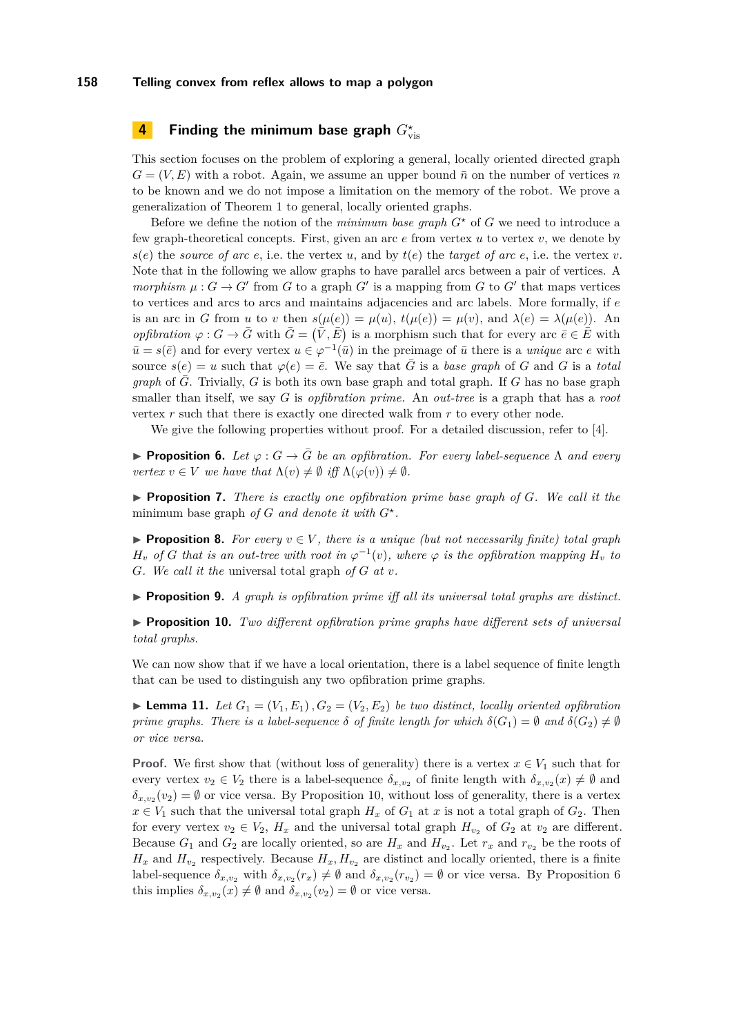# **4 Finding the minimum base graph**  $G^\star_{\text{vis}}$

This section focuses on the problem of exploring a general, locally oriented directed graph  $G = (V, E)$  with a robot. Again, we assume an upper bound  $\bar{n}$  on the number of vertices *n* to be known and we do not impose a limitation on the memory of the robot. We prove a generalization of Theorem [1](#page-3-0) to general, locally oriented graphs.

Before we define the notion of the *minimum base graph*  $G^*$  of  $G$  we need to introduce a few graph-theoretical concepts. First, given an arc *e* from vertex *u* to vertex *v*, we denote by  $s(e)$  the *source of arc e*, i.e. the vertex *u*, and by  $t(e)$  the *target of arc e*, i.e. the vertex *v*. Note that in the following we allow graphs to have parallel arcs between a pair of vertices. A *morphism*  $\mu$ :  $G \to G'$  from  $G$  to a graph  $G'$  is a mapping from  $G$  to  $G'$  that maps vertices to vertices and arcs to arcs and maintains adjacencies and arc labels. More formally, if *e* is an arc in *G* from *u* to *v* then  $s(\mu(e)) = \mu(u)$ ,  $t(\mu(e)) = \mu(v)$ , and  $\lambda(e) = \lambda(\mu(e))$ . An *opfibration*  $\varphi$ :  $G \to \bar{G}$  with  $\bar{G} = (\bar{V}, \bar{E})$  is a morphism such that for every arc  $\bar{e} \in \bar{E}$  with  $\bar{u} = s(\bar{e})$  and for every vertex  $u \in \varphi^{-1}(\bar{u})$  in the preimage of  $\bar{u}$  there is a *unique* arc *e* with source  $s(e) = u$  such that  $\varphi(e) = \overline{e}$ . We say that  $\overline{G}$  is a *base graph* of *G* and *G* is a *total graph* of  $\overline{G}$ . Trivially,  $G$  is both its own base graph and total graph. If  $G$  has no base graph smaller than itself, we say *G* is *opfibration prime.* An *out-tree* is a graph that has a *root* vertex *r* such that there is exactly one directed walk from *r* to every other node.

We give the following properties without proof. For a detailed discussion, refer to [\[4\]](#page-11-11).

<span id="page-5-1"></span>**Proposition 6.** Let  $\varphi$ :  $G \to \overline{G}$  be an opfibration. For every label-sequence  $\Lambda$  and every *vertex*  $v \in V$  *we have that*  $\Lambda(v) \neq \emptyset$  *iff*  $\Lambda(\varphi(v)) \neq \emptyset$ *.* 

<span id="page-5-2"></span> $\triangleright$  **Proposition 7.** *There is exactly one opfibration prime base graph of G. We call it the* minimum base graph *of G and denote it with*  $G^*$ *.* 

**Proposition 8.** For every  $v \in V$ , there is a unique (but not necessarily finite) total graph  $H_v$  *of G* that is an out-tree with root in  $\varphi^{-1}(v)$ , where  $\varphi$  is the opfibration mapping  $H_v$  to *G. We call it the* universal total graph *of G at v.*

<span id="page-5-4"></span>I **Proposition 9.** *A graph is opfibration prime iff all its universal total graphs are distinct.*

<span id="page-5-0"></span>I **Proposition 10.** *Two different opfibration prime graphs have different sets of universal total graphs.*

We can now show that if we have a local orientation, there is a label sequence of finite length that can be used to distinguish any two opfibration prime graphs.

<span id="page-5-3"></span>**Lemma 11.** Let  $G_1 = (V_1, E_1), G_2 = (V_2, E_2)$  be two distinct, locally oriented opfibration *prime graphs. There is a label-sequence*  $\delta$  *of finite length for which*  $\delta(G_1) = \emptyset$  *and*  $\delta(G_2) \neq \emptyset$ *or vice versa.*

**Proof.** We first show that (without loss of generality) there is a vertex  $x \in V_1$  such that for every vertex  $v_2 \in V_2$  there is a label-sequence  $\delta_{x,v_2}$  of finite length with  $\delta_{x,v_2}(x) \neq \emptyset$  and  $\delta_{x,v_2}(v_2) = \emptyset$  or vice versa. By Proposition [10,](#page-5-0) without loss of generality, there is a vertex  $x \in V_1$  such that the universal total graph  $H_x$  of  $G_1$  at  $x$  is not a total graph of  $G_2$ . Then for every vertex  $v_2 \in V_2$ ,  $H_x$  and the universal total graph  $H_{v_2}$  of  $G_2$  at  $v_2$  are different. Because  $G_1$  and  $G_2$  are locally oriented, so are  $H_x$  and  $H_{v_2}$ . Let  $r_x$  and  $r_{v_2}$  be the roots of  $H_x$  and  $H_{v_2}$  respectively. Because  $H_x, H_{v_2}$  are distinct and locally oriented, there is a finite label-sequence  $\delta_{x,v_2}$  with  $\delta_{x,v_2}(r_x) \neq \emptyset$  and  $\delta_{x,v_2}(r_{v_2}) = \emptyset$  or vice versa. By Proposition [6](#page-5-1) this implies  $\delta_{x,v_2}(x) \neq \emptyset$  and  $\delta_{x,v_2}(v_2) = \emptyset$  or vice versa.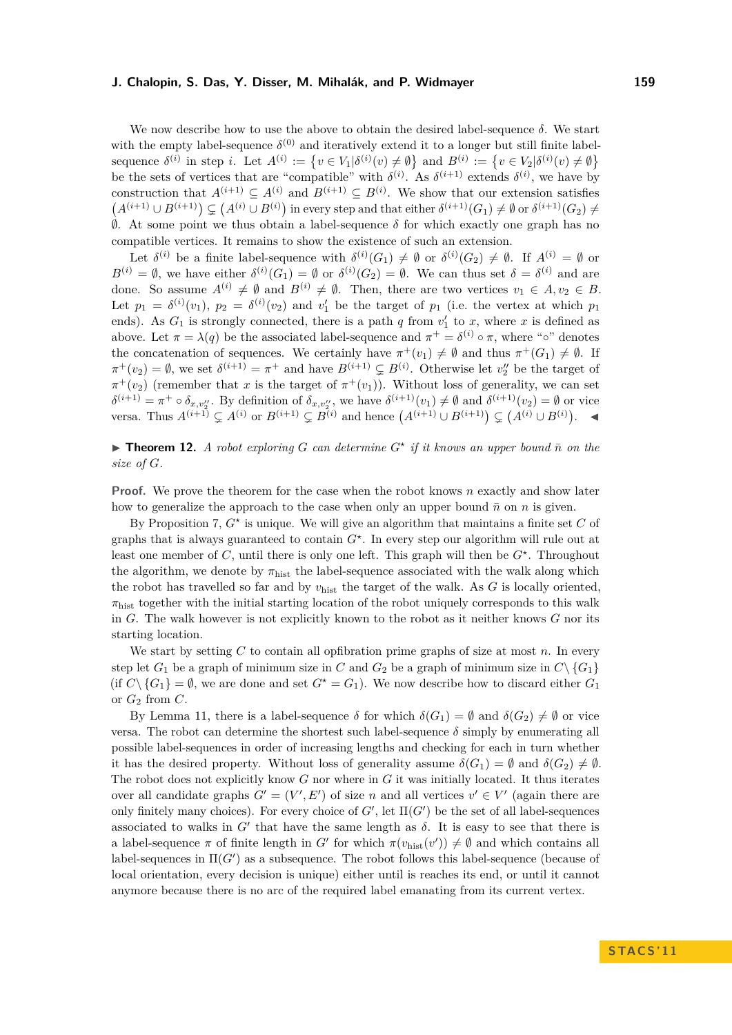We now describe how to use the above to obtain the desired label-sequence *δ*. We start with the empty label-sequence  $\delta^{(0)}$  and iteratively extend it to a longer but still finite labelsequence  $\delta^{(i)}$  in step *i*. Let  $A^{(i)} := \{v \in V_1 | \delta^{(i)}(v) \neq \emptyset\}$  and  $B^{(i)} := \{v \in V_2 | \delta^{(i)}(v) \neq \emptyset\}$ be the sets of vertices that are "compatible" with  $\delta^{(i)}$ . As  $\delta^{(i+1)}$  extends  $\delta^{(i)}$ , we have by construction that  $A^{(i+1)} \subseteq A^{(i)}$  and  $B^{(i+1)} \subseteq B^{(i)}$ . We show that our extension satisfies  $(A^{(i+1)} \cup B^{(i+1)}) \subsetneq (A^{(i)} \cup B^{(i)})$  in every step and that either  $\delta^{(i+1)}(G_1) \neq \emptyset$  or  $\delta^{(i+1)}(G_2) \neq \emptyset$ ∅. At some point we thus obtain a label-sequence *δ* for which exactly one graph has no compatible vertices. It remains to show the existence of such an extension.

Let  $\delta^{(i)}$  be a finite label-sequence with  $\delta^{(i)}(G_1) \neq \emptyset$  or  $\delta^{(i)}(G_2) \neq \emptyset$ . If  $A^{(i)} = \emptyset$  or  $B^{(i)} = \emptyset$ , we have either  $\delta^{(i)}(G_1) = \emptyset$  or  $\delta^{(i)}(G_2) = \emptyset$ . We can thus set  $\delta = \delta^{(i)}$  and are done. So assume  $A^{(i)} \neq \emptyset$  and  $B^{(i)} \neq \emptyset$ . Then, there are two vertices  $v_1 \in A, v_2 \in B$ . Let  $p_1 = \delta^{(i)}(v_1)$ ,  $p_2 = \delta^{(i)}(v_2)$  and  $v'_1$  be the target of  $p_1$  (i.e. the vertex at which  $p_1$ ends). As  $G_1$  is strongly connected, there is a path  $q$  from  $v'_1$  to  $x$ , where  $x$  is defined as above. Let  $\pi = \lambda(q)$  be the associated label-sequence and  $\pi^+ = \delta^{(i)} \circ \pi$ , where "<sup>o</sup>" denotes the concatenation of sequences. We certainly have  $\pi^+(v_1) \neq \emptyset$  and thus  $\pi^+(G_1) \neq \emptyset$ . If  $\pi^+(v_2) = \emptyset$ , we set  $\delta^{(i+1)} = \pi^+$  and have  $B^{(i+1)} \subsetneq B^{(i)}$ . Otherwise let  $v''_2$  be the target of  $\pi^+(v_2)$  (remember that *x* is the target of  $\pi^+(v_1)$ ). Without loss of generality, we can set  $\delta^{(i+1)} = \pi^+ \circ \delta_{x,v_2''}$ . By definition of  $\delta_{x,v_2''}$ , we have  $\delta^{(i+1)}(v_1) \neq \emptyset$  and  $\delta^{(i+1)}(v_2) = \emptyset$  or vice versa. Thus  $A^{(i+1)} \nsubseteq A^{(i)}$  or  $B^{(i+1)} \nsubseteq B^{(i)}$  and hence  $(A^{(i+1)} \cup B^{(i+1)}) \nsubseteq (A^{(i)} \cup B^{(i)})$ . ◄

<span id="page-6-0"></span>**Find 12.** A robot exploring G can determine  $G^*$  if it knows an upper bound  $\bar{n}$  on the *size of G.*

**Proof.** We prove the theorem for the case when the robot knows *n* exactly and show later how to generalize the approach to the case when only an upper bound  $\bar{n}$  on *n* is given.

By Proposition [7,](#page-5-2) *G?* is unique. We will give an algorithm that maintains a finite set *C* of graphs that is always guaranteed to contain  $G^*$ . In every step our algorithm will rule out at least one member of *C*, until there is only one left. This graph will then be  $G^*$ . Throughout the algorithm, we denote by  $\pi_{\text{hist}}$  the label-sequence associated with the walk along which the robot has travelled so far and by  $v_{\text{hist}}$  the target of the walk. As *G* is locally oriented,  $\pi_{\text{hist}}$  together with the initial starting location of the robot uniquely corresponds to this walk in *G*. The walk however is not explicitly known to the robot as it neither knows *G* nor its starting location.

We start by setting *C* to contain all opfibration prime graphs of size at most *n*. In every step let  $G_1$  be a graph of minimum size in *C* and  $G_2$  be a graph of minimum size in  $C \setminus \{G_1\}$ (if  $C \setminus \{G_1\} = \emptyset$ , we are done and set  $G^* = G_1$ ). We now describe how to discard either  $G_1$ or  $G_2$  from  $C$ .

By Lemma [11,](#page-5-3) there is a label-sequence  $\delta$  for which  $\delta(G_1) = \emptyset$  and  $\delta(G_2) \neq \emptyset$  or vice versa. The robot can determine the shortest such label-sequence  $\delta$  simply by enumerating all possible label-sequences in order of increasing lengths and checking for each in turn whether it has the desired property. Without loss of generality assume  $\delta(G_1) = \emptyset$  and  $\delta(G_2) \neq \emptyset$ . The robot does not explicitly know *G* nor where in *G* it was initially located. It thus iterates over all candidate graphs  $G' = (V', E')$  of size *n* and all vertices  $v' \in V'$  (again there are only finitely many choices). For every choice of  $G'$ , let  $\Pi(G')$  be the set of all label-sequences associated to walks in  $G'$  that have the same length as  $\delta$ . It is easy to see that there is a label-sequence  $\pi$  of finite length in *G'* for which  $\pi(v_{\text{hist}}(v')) \neq \emptyset$  and which contains all label-sequences in  $\Pi(G')$  as a subsequence. The robot follows this label-sequence (because of local orientation, every decision is unique) either until is reaches its end, or until it cannot anymore because there is no arc of the required label emanating from its current vertex.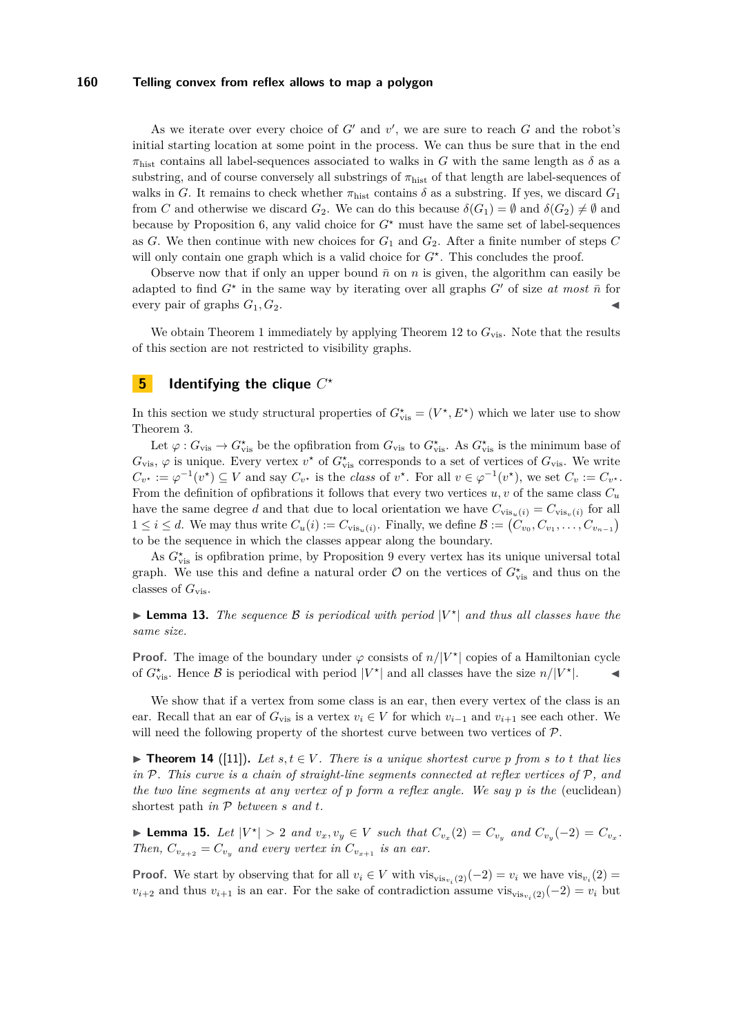As we iterate over every choice of  $G'$  and  $v'$ , we are sure to reach  $G$  and the robot's initial starting location at some point in the process. We can thus be sure that in the end  $\pi_{\text{hist}}$  contains all label-sequences associated to walks in *G* with the same length as  $\delta$  as a substring, and of course conversely all substrings of *π*hist of that length are label-sequences of walks in *G*. It remains to check whether  $\pi_{\text{hist}}$  contains  $\delta$  as a substring. If yes, we discard  $G_1$ from *C* and otherwise we discard  $G_2$ . We can do this because  $\delta(G_1) = \emptyset$  and  $\delta(G_2) \neq \emptyset$  and because by Proposition [6,](#page-5-1) any valid choice for  $G^*$  must have the same set of label-sequences as *G*. We then continue with new choices for  $G_1$  and  $G_2$ . After a finite number of steps *C* will only contain one graph which is a valid choice for  $G^*$ . This concludes the proof.

Observe now that if only an upper bound  $\bar{n}$  on *n* is given, the algorithm can easily be adapted to find  $G^*$  in the same way by iterating over all graphs  $G'$  of size *at most*  $\bar{n}$  for every pair of graphs  $G_1, G_2$ .

We obtain Theorem [1](#page-3-0) immediately by applying Theorem [12](#page-6-0) to  $G_{\text{vis}}$ . Note that the results of this section are not restricted to visibility graphs.

# $\overline{\mathbf{5}}$  **Identifying the clique**  $C^{\star}$

In this section we study structural properties of  $G^{\star}_{\text{vis}} = (V^{\star}, E^{\star})$  which we later use to show Theorem [3.](#page-4-1)

Let  $\varphi$  :  $G_{\text{vis}} \to G_{\text{vis}}^*$  be the opfibration from  $G_{\text{vis}}$  to  $G_{\text{vis}}^*$ . As  $G_{\text{vis}}^*$  is the minimum base of  $G_{\text{vis}}$ ,  $\varphi$  is unique. Every vertex  $v^*$  of  $G_{\text{vis}}^*$  corresponds to a set of vertices of  $G_{\text{vis}}$ . We write  $C_{v^*} := \varphi^{-1}(v^*) \subseteq V$  and say  $C_{v^*}$  is the class of  $v^*$ . For all  $v \in \varphi^{-1}(v^*)$ , we set  $C_v := C_{v^*}$ . From the definition of opfibrations it follows that every two vertices  $u, v$  of the same class  $C_u$ have the same degree *d* and that due to local orientation we have  $C_{\text{vis}_u(i)} = C_{\text{vis}_v(i)}$  for all  $1 \leq i \leq d$ . We may thus write  $C_u(i) := C_{\text{vis}_u(i)}$ . Finally, we define  $\mathcal{B} := (C_{v_0}, C_{v_1}, \ldots, C_{v_{n-1}})$ to be the sequence in which the classes appear along the boundary.

As  $G^{\star}_{\text{vis}}$  is opfibration prime, by Proposition [9](#page-5-4) every vertex has its unique universal total graph. We use this and define a natural order  $\mathcal O$  on the vertices of  $G^\star_{\text{vis}}$  and thus on the classes of *G*vis.

<span id="page-7-0"></span>**Example 13.** The sequence B is periodical with period  $|V^*|$  and thus all classes have the *same size.*

**Proof.** The image of the boundary under  $\varphi$  consists of  $n/|V^*|$  copies of a Hamiltonian cycle of  $G_{\text{vis}}^*$ . Hence  $\beta$  is periodical with period  $|V^*|$  and all classes have the size  $n/|V^*|$ .

We show that if a vertex from some class is an ear, then every vertex of the class is an ear. Recall that an ear of  $G_{\text{vis}}$  is a vertex  $v_i \in V$  for which  $v_{i-1}$  and  $v_{i+1}$  see each other. We will need the following property of the shortest curve between two vertices of  $\mathcal{P}$ .

<span id="page-7-2"></span>▶ **Theorem 14** ([\[11\]](#page-11-14)). Let  $s, t \in V$ . There is a unique shortest curve p from  $s$  to  $t$  that lies *in* P*. This curve is a chain of straight-line segments connected at reflex vertices of* P*, and the two line segments at any vertex of p form a reflex angle. We say p is the* (euclidean) shortest path *in* P *between s and t.*

<span id="page-7-1"></span>**Lemma 15.** Let  $|V^*| > 2$  and  $v_x, v_y \in V$  such that  $C_{v_x}(2) = C_{v_y}$  and  $C_{v_y}(-2) = C_{v_x}$ . *Then,*  $C_{v_{x+2}} = C_{v_x}$  *and every vertex in*  $C_{v_{x+1}}$  *is an ear.* 

**Proof.** We start by observing that for all  $v_i \in V$  with  $vis_{vis_{v_i}(2)}(-2) = v_i$  we have  $vis_{v_i}(2) =$  $v_{i+2}$  and thus  $v_{i+1}$  is an ear. For the sake of contradiction assume  $\text{vis}_{\text{vis}_{v_i}(2)}(-2) = v_i$  but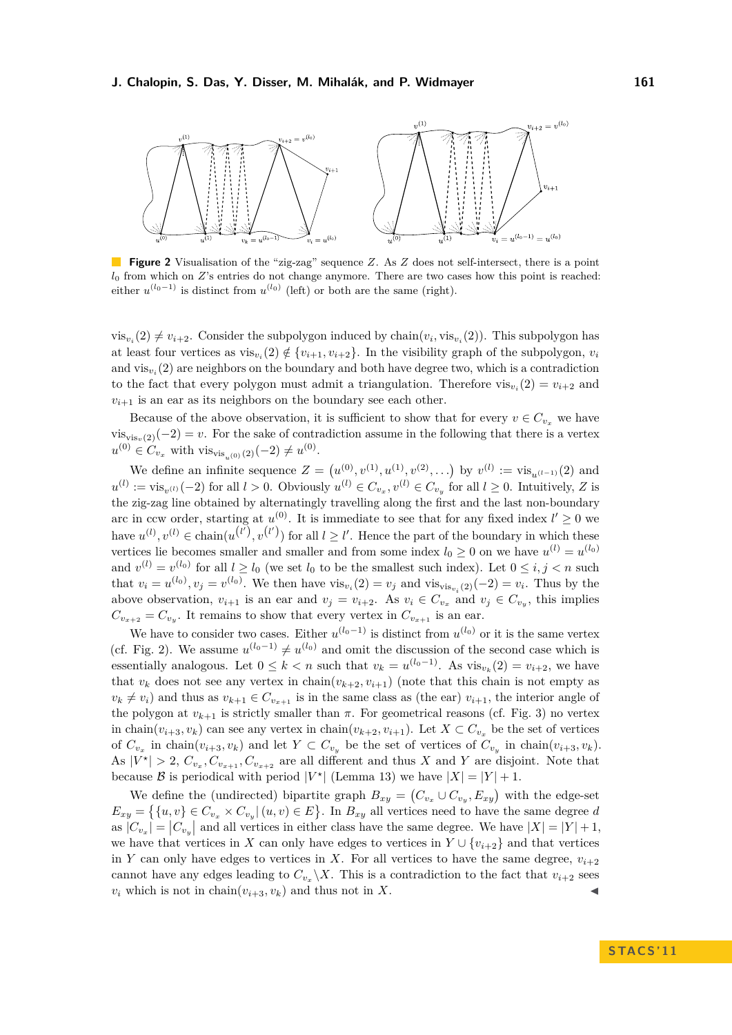<span id="page-8-0"></span>

**Figure 2** Visualisation of the "zig-zag" sequence *Z*. As *Z* does not self-intersect, there is a point *l*<sub>0</sub> from which on *Z*'s entries do not change anymore. There are two cases how this point is reached: either  $u^{(l_0-1)}$  is distinct from  $u^{(l_0)}$  (left) or both are the same (right).

 $vis_{v_i}(2) \neq v_{i+2}$ . Consider the subpolygon induced by chain $(v_i, vis_{v_i}(2))$ . This subpolygon has at least four vertices as  $\text{vis}_{v_i}(2) \notin \{v_{i+1}, v_{i+2}\}.$  In the visibility graph of the subpolygon,  $v_i$ and  $\text{vis}_{v_i}(2)$  are neighbors on the boundary and both have degree two, which is a contradiction to the fact that every polygon must admit a triangulation. Therefore  $vis_{v_i}(2) = v_{i+2}$  and  $v_{i+1}$  is an ear as its neighbors on the boundary see each other.

Because of the above observation, it is sufficient to show that for every  $v \in C_{v_x}$  we have  $vis_{vis_n(2)}(-2) = v$ . For the sake of contradiction assume in the following that there is a vertex  $u^{(0)} \in C_{v_x}$  with vis<sub>vis<sub>*u*(0)</sub>(2)(−2)  $\neq u^{(0)}$ .</sub>

We define an infinite sequence  $Z = (u^{(0)}, v^{(1)}, u^{(1)}, v^{(2)}, \ldots)$  by  $v^{(l)} := \text{vis}_{u^{(l-1)}}(2)$  and  $u^{(l)} := \text{vis}_{v^{(l)}}(-2)$  for all  $l > 0$ . Obviously  $u^{(l)} \in C_{v_x}, v^{(l)} \in C_{v_y}$  for all  $l \geq 0$ . Intuitively, *Z* is the zig-zag line obtained by alternatingly travelling along the first and the last non-boundary arc in ccw order, starting at  $u^{(0)}$ . It is immediate to see that for any fixed index  $l' \geq 0$  we have  $u^{(l)}$ ,  $v^{(l)} \in \text{chain}(u^{(l')}, v^{(l')})$  for all  $l \geq l'$ . Hence the part of the boundary in which these vertices lie becomes smaller and smaller and from some index  $l_0 \geq 0$  on we have  $u^{(l)} = u^{(l_0)}$ and  $v^{(l)} = v^{(l_0)}$  for all  $l \geq l_0$  (we set  $l_0$  to be the smallest such index). Let  $0 \leq i, j < n$  such that  $v_i = u^{(l_0)}, v_j = v^{(l_0)}$ . We then have  $\text{vis}_{v_i}(2) = v_j$  and  $\text{vis}_{\text{vis}_{v_i}(2)}(-2) = v_i$ . Thus by the above observation,  $v_{i+1}$  is an ear and  $v_j = v_{i+2}$ . As  $v_i \in C_{v_x}$  and  $v_j \in C_{v_y}$ , this implies  $C_{v_{x+2}} = C_{v_y}$ . It remains to show that every vertex in  $C_{v_{x+1}}$  is an ear.

We have to consider two cases. Either  $u^{(l_0-1)}$  is distinct from  $u^{(l_0)}$  or it is the same vertex (cf. Fig. [2\)](#page-8-0). We assume  $u^{(l_0-1)} \neq u^{(l_0)}$  and omit the discussion of the second case which is essentially analogous. Let  $0 \leq k < n$  such that  $v_k = u^{(l_0-1)}$ . As  $\text{vis}_{v_k}(2) = v_{i+2}$ , we have that  $v_k$  does not see any vertex in chain $(v_{k+2}, v_{i+1})$  (note that this chain is not empty as  $v_k \neq v_i$  and thus as  $v_{k+1} \in C_{v_{x+1}}$  is in the same class as (the ear)  $v_{i+1}$ , the interior angle of the polygon at  $v_{k+1}$  is strictly smaller than  $\pi$ . For geometrical reasons (cf. Fig. [3\)](#page-9-0) no vertex in chain $(v_{i+3}, v_k)$  can see any vertex in chain $(v_{k+2}, v_{i+1})$ . Let  $X \subset C_{v_x}$  be the set of vertices of  $C_{v_x}$  in chain $(v_{i+3}, v_k)$  and let  $Y \subset C_{v_y}$  be the set of vertices of  $C_{v_y}$  in chain $(v_{i+3}, v_k)$ . As  $|V^*| > 2$ ,  $C_{v_x}, C_{v_{x+1}}, C_{v_{x+2}}$  are all different and thus *X* and *Y* are disjoint. Note that because B is periodical with period  $|V^*|$  (Lemma [13\)](#page-7-0) we have  $|X| = |Y| + 1$ .

We define the (undirected) bipartite graph  $B_{xy} = (C_{v_x} \cup C_{v_y}, E_{xy})$  with the edge-set  $E_{xy} = \{ \{u, v\} \in C_{v_x} \times C_{v_y} | (u, v) \in E \}.$  In  $B_{xy}$  all vertices need to have the same degree *d* as  $|C_{v_x}| = |C_{v_y}|$  and all vertices in either class have the same degree. We have  $|X| = |Y| + 1$ , we have that vertices in *X* can only have edges to vertices in  $Y \cup \{v_{i+2}\}\$  and that vertices in *Y* can only have edges to vertices in *X*. For all vertices to have the same degree,  $v_{i+2}$ cannot have any edges leading to  $C_{v_x} \backslash X$ . This is a contradiction to the fact that  $v_{i+2}$  sees  $v_i$  which is not in chain $(v_{i+3}, v_k)$  and thus not in *X*.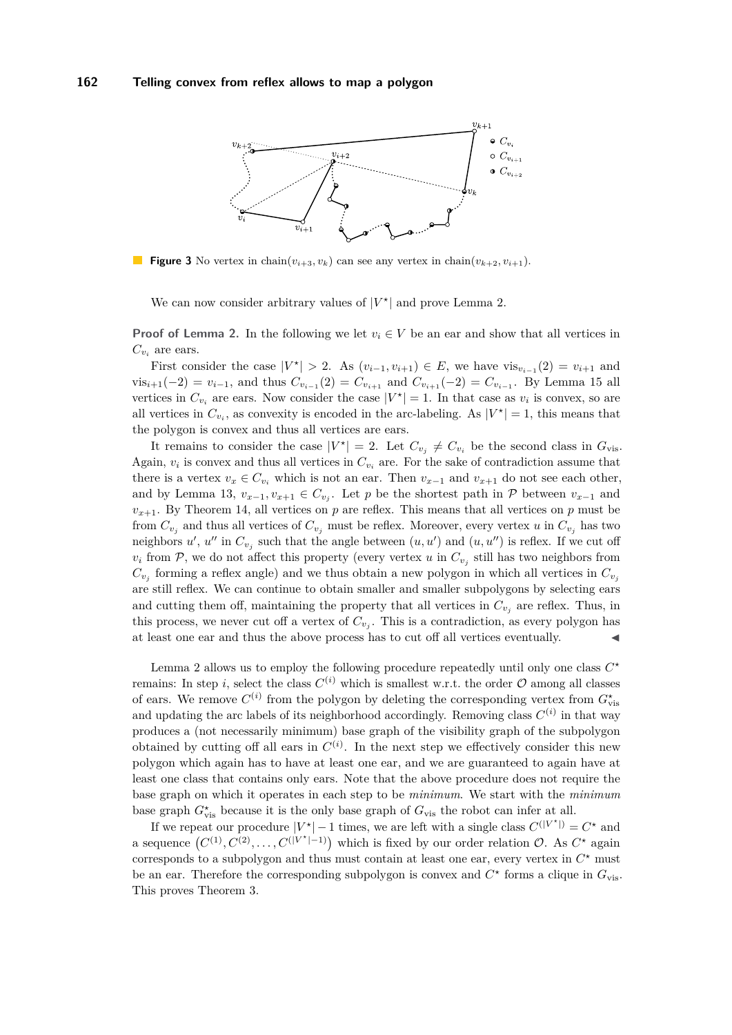<span id="page-9-0"></span>

**Figure 3** No vertex in chain $(v_{i+3}, v_k)$  can see any vertex in chain $(v_{k+2}, v_{i+1})$ .

We can now consider arbitrary values of  $|V^*|$  and prove Lemma [2.](#page-4-2)

**Proof of Lemma [2.](#page-4-2)** In the following we let  $v_i \in V$  be an ear and show that all vertices in  $C_{v_i}$  are ears.

First consider the case  $|V^*| > 2$ . As  $(v_{i-1}, v_{i+1}) \in E$ , we have  $\text{vis}_{v_{i-1}}(2) = v_{i+1}$  and  $\nu$ is<sub>*i*+1</sub>(−2) =  $v_{i-1}$ , and thus  $C_{v_{i-1}}(2) = C_{v_{i+1}}$  and  $C_{v_{i+1}}(-2) = C_{v_{i-1}}$ . By Lemma [15](#page-7-1) all vertices in  $C_{v_i}$  are ears. Now consider the case  $|V^*| = 1$ . In that case as  $v_i$  is convex, so are all vertices in  $C_{v_i}$ , as convexity is encoded in the arc-labeling. As  $|V^*| = 1$ , this means that the polygon is convex and thus all vertices are ears.

It remains to consider the case  $|V^*| = 2$ . Let  $C_{v_j} \neq C_{v_i}$  be the second class in  $G_{\text{vis}}$ . Again,  $v_i$  is convex and thus all vertices in  $C_{v_i}$  are. For the sake of contradiction assume that there is a vertex  $v_x \in C_{v_i}$  which is not an ear. Then  $v_{x-1}$  and  $v_{x+1}$  do not see each other, and by Lemma [13,](#page-7-0)  $v_{x-1}, v_{x+1} \in C_{v_j}$ . Let *p* be the shortest path in  $P$  between  $v_{x-1}$  and  $v_{x+1}$ . By Theorem [14,](#page-7-2) all vertices on *p* are reflex. This means that all vertices on *p* must be from  $C_{v_j}$  and thus all vertices of  $C_{v_j}$  must be reflex. Moreover, every vertex *u* in  $C_{v_j}$  has two neighbors  $u'$ ,  $u''$  in  $C_{v_j}$  such that the angle between  $(u, u')$  and  $(u, u'')$  is reflex. If we cut off  $v_i$  from  $P$ , we do not affect this property (every vertex *u* in  $C_{v_j}$  still has two neighbors from  $C_{v_j}$  forming a reflex angle) and we thus obtain a new polygon in which all vertices in  $C_{v_j}$ are still reflex. We can continue to obtain smaller and smaller subpolygons by selecting ears and cutting them off, maintaining the property that all vertices in  $C_{v_i}$  are reflex. Thus, in this process, we never cut off a vertex of  $C_{v_j}$ . This is a contradiction, as every polygon has at least one ear and thus the above process has to cut off all vertices eventually.

Lemma [2](#page-4-2) allows us to employ the following procedure repeatedly until only one class  $C^*$ remains: In step *i*, select the class  $C^{(i)}$  which is smallest w.r.t. the order  $\mathcal O$  among all classes of ears. We remove  $C^{(i)}$  from the polygon by deleting the corresponding vertex from  $G^{\star}_{\text{vis}}$ and updating the arc labels of its neighborhood accordingly. Removing class  $C^{(i)}$  in that way produces a (not necessarily minimum) base graph of the visibility graph of the subpolygon obtained by cutting off all ears in  $C^{(i)}$ . In the next step we effectively consider this new polygon which again has to have at least one ear, and we are guaranteed to again have at least one class that contains only ears. Note that the above procedure does not require the base graph on which it operates in each step to be *minimum*. We start with the *minimum* base graph  $G^{\star}_{\text{vis}}$  because it is the only base graph of  $G_{\text{vis}}$  the robot can infer at all.

If we repeat our procedure  $|V^*| - 1$  times, we are left with a single class  $C^{(|V^*|)} = C^*$  and a sequence  $(C^{(1)}, C^{(2)}, \ldots, C^{(|V^*|-1)})$  which is fixed by our order relation  $\mathcal{O}$ . As  $C^*$  again corresponds to a subpolygon and thus must contain at least one ear, every vertex in  $C^*$  must be an ear. Therefore the corresponding subpolygon is convex and  $C^*$  forms a clique in  $G_{\text{vis}}$ . This proves Theorem [3.](#page-4-1)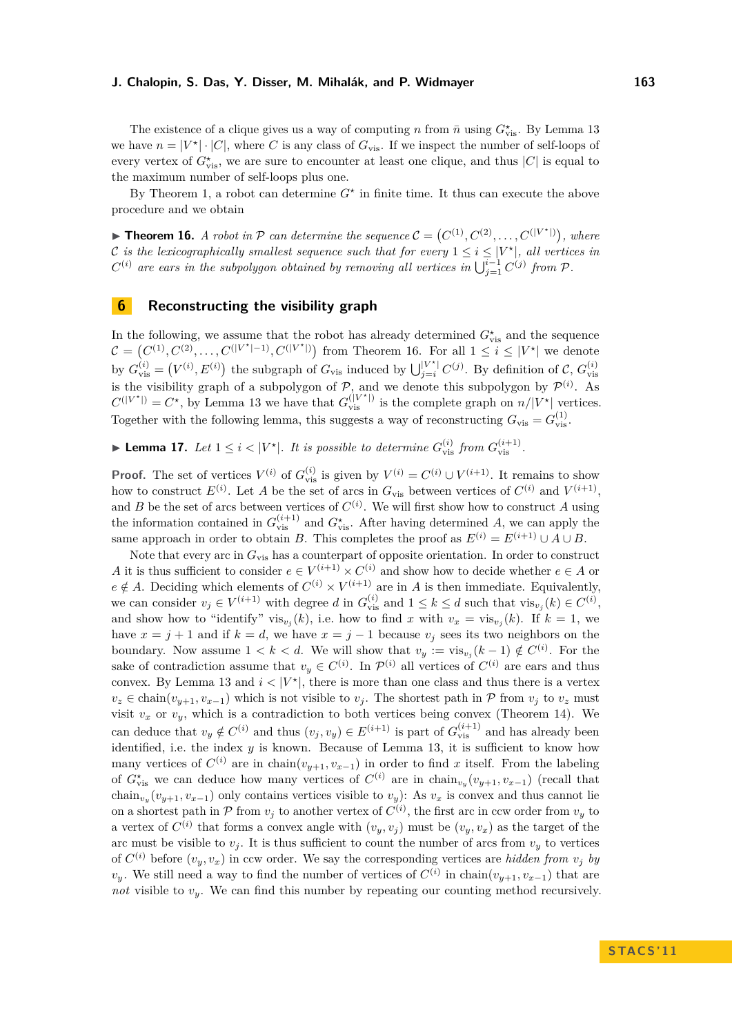The existence of a clique gives us a way of computing *n* from  $\bar{n}$  using  $G^{\star}_{\text{vis}}$ . By Lemma [13](#page-7-0) we have  $n = |V^*| \cdot |C|$ , where *C* is any class of  $G_{\text{vis}}$ . If we inspect the number of self-loops of every vertex of  $G^{\star}_{\text{vis}}$ , we are sure to encounter at least one clique, and thus  $|C|$  is equal to the maximum number of self-loops plus one.

By Theorem [1,](#page-3-0) a robot can determine  $G^*$  in finite time. It thus can execute the above procedure and we obtain

<span id="page-10-0"></span>**Theorem 16.** *A robot in*  $P$  *can determine the sequence*  $C = (C^{(1)}, C^{(2)}, \ldots, C^{(|V^*|)}),$  where C is the lexicographically smallest sequence such that for every  $1 \leq i \leq |V^*|$ , all vertices in  $C^{(i)}$  are ears in the subpolygon obtained by removing all vertices in  $\bigcup_{j=1}^{i-1} C^{(j)}$  from  $\mathcal P$ .

### **6 Reconstructing the visibility graph**

In the following, we assume that the robot has already determined  $G^{\star}_{\text{vis}}$  and the sequence  $\mathcal{C} = (C^{(1)}, C^{(2)}, \ldots, C^{(|V^*|-1)}, C^{(|V^*|)})$  from Theorem [16.](#page-10-0) For all 1 ≤ *i* ≤ |*V*<sup>★</sup>| we denote by  $G_{\text{vis}}^{(i)} = (V^{(i)}, E^{(i)})$  the subgraph of  $G_{\text{vis}}$  induced by  $\bigcup_{j=i}^{|V^*|} C^{(j)}$ . By definition of  $\mathcal{C}, G_{\text{vis}}^{(i)}$ is the visibility graph of a subpolygon of  $P$ , and we denote this subpolygon by  $P^{(i)}$ . As  $C^{(|V^*|)} = C^*$ , by Lemma [13](#page-7-0) we have that  $G_{\text{vis}}^{(|V^*|)}$  is the complete graph on  $n/|V^*|$  vertices. Together with the following lemma, this suggests a way of reconstructing  $G_{\text{vis}} = G_{\text{vis}}^{(1)}$ .

<span id="page-10-1"></span>▶ **Lemma 17.** *Let*  $1 \leq i < |V^*|$ *. It is possible to determine*  $G_{vis}^{(i)}$  *from*  $G_{vis}^{(i+1)}$ *.* 

**Proof.** The set of vertices  $V^{(i)}$  of  $G_{\text{vis}}^{(i)}$  is given by  $V^{(i)} = C^{(i)} \cup V^{(i+1)}$ . It remains to show how to construct  $E^{(i)}$ . Let *A* be the set of arcs in  $G_{\text{vis}}$  between vertices of  $C^{(i)}$  and  $V^{(i+1)}$ , and *B* be the set of arcs between vertices of  $C^{(i)}$ . We will first show how to construct *A* using the information contained in  $G_{\text{vis}}^{(i+1)}$  and  $G_{\text{vis}}^*$ . After having determined *A*, we can apply the same approach in order to obtain *B*. This completes the proof as  $E^{(i)} = E^{(i+1)} \cup A \cup B$ .

Note that every arc in  $G_{vis}$  has a counterpart of opposite orientation. In order to construct *A* it is thus sufficient to consider  $e \in V^{(i+1)} \times C^{(i)}$  and show how to decide whether  $e \in A$  or  $e \notin A$ . Deciding which elements of  $C^{(i)} \times V^{(i+1)}$  are in *A* is then immediate. Equivalently, we can consider  $v_j \in V^{(i+1)}$  with degree *d* in  $G_{\text{vis}}^{(i)}$  and  $1 \leq k \leq d$  such that  $\text{vis}_{v_j}(k) \in C^{(i)}$ , and show how to "identify" vis<sub>*v<sub>j</sub>*</sub>(*k*), i.e. how to find *x* with  $v_x = \text{vis}_{v_j}(k)$ . If  $k = 1$ , we have  $x = j + 1$  and if  $k = d$ , we have  $x = j - 1$  because  $v_j$  sees its two neighbors on the boundary. Now assume  $1 < k < d$ . We will show that  $v_y := \text{vis}_{v_j}(k-1) \notin C^{(i)}$ . For the sake of contradiction assume that  $v_y \in C^{(i)}$ . In  $\mathcal{P}^{(i)}$  all vertices of  $C^{(i)}$  are ears and thus convex. By Lemma [13](#page-7-0) and  $i < |V^*|$ , there is more than one class and thus there is a vertex  $v_z \in \text{chain}(v_{y+1}, v_{x-1})$  which is not visible to  $v_j$ . The shortest path in P from  $v_j$  to  $v_z$  must visit  $v_x$  or  $v_y$ , which is a contradiction to both vertices being convex (Theorem [14\)](#page-7-2). We can deduce that  $v_y \notin C^{(i)}$  and thus  $(v_j, v_y) \in E^{(i+1)}$  is part of  $G_{\text{vis}}^{(i+1)}$  and has already been identified, i.e. the index  $y$  is known. Because of Lemma [13,](#page-7-0) it is sufficient to know how many vertices of  $C^{(i)}$  are in chain $(v_{y+1}, v_{x-1})$  in order to find x itself. From the labeling of  $G^{\star}_{\text{vis}}$  we can deduce how many vertices of  $C^{(i)}$  are in chain<sub>*v<sub>y</sub>*</sub> $(v_{y+1}, v_{x-1})$  (recall that chain<sub>*v<sub>y</sub>*</sub> $(v_{y+1}, v_{x-1})$  only contains vertices visible to *v<sub>y</sub>*): As *v<sub>x</sub>* is convex and thus cannot lie on a shortest path in  $P$  from  $v_j$  to another vertex of  $C^{(i)}$ , the first arc in ccw order from  $v_y$  to a vertex of  $C^{(i)}$  that forms a convex angle with  $(v_y, v_j)$  must be  $(v_y, v_x)$  as the target of the arc must be visible to  $v_j$ . It is thus sufficient to count the number of arcs from  $v_y$  to vertices of  $C^{(i)}$  before  $(v_y, v_x)$  in ccw order. We say the corresponding vertices are *hidden from*  $v_j$  *by v*<sub>*y*</sub>. We still need a way to find the number of vertices of  $C^{(i)}$  in chain $(v_{y+1}, v_{x-1})$  that are *not* visible to *vy*. We can find this number by repeating our counting method recursively.